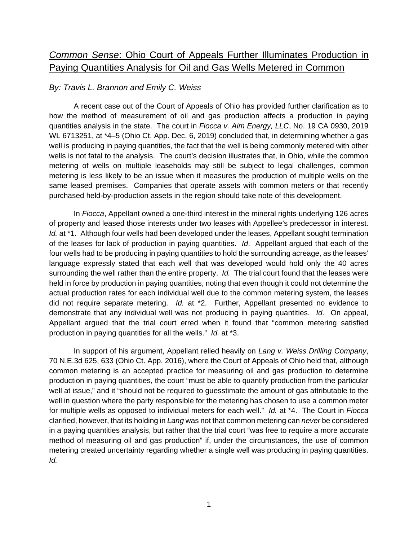## *Common Sense*: Ohio Court of Appeals Further Illuminates Production in Paying Quantities Analysis for Oil and Gas Wells Metered in Common

## *By: Travis L. Brannon and Emily C. Weiss*

A recent case out of the Court of Appeals of Ohio has provided further clarification as to how the method of measurement of oil and gas production affects a production in paying quantities analysis in the state. The court in *Fiocca v. Aim Energy, LLC*, No. 19 CA 0930, 2019 WL 6713251, at \*4–5 (Ohio Ct. App. Dec. 6, 2019) concluded that, in determining whether a gas well is producing in paying quantities, the fact that the well is being commonly metered with other wells is not fatal to the analysis. The court's decision illustrates that, in Ohio, while the common metering of wells on multiple leaseholds may still be subject to legal challenges, common metering is less likely to be an issue when it measures the production of multiple wells on the same leased premises. Companies that operate assets with common meters or that recently purchased held-by-production assets in the region should take note of this development.

In *Fiocca*, Appellant owned a one-third interest in the mineral rights underlying 126 acres of property and leased those interests under two leases with Appellee's predecessor in interest. *Id.* at \*1. Although four wells had been developed under the leases, Appellant sought termination of the leases for lack of production in paying quantities. *Id*. Appellant argued that each of the four wells had to be producing in paying quantities to hold the surrounding acreage, as the leases' language expressly stated that each well that was developed would hold only the 40 acres surrounding the well rather than the entire property. *Id.* The trial court found that the leases were held in force by production in paying quantities, noting that even though it could not determine the actual production rates for each individual well due to the common metering system, the leases did not require separate metering. *Id.* at \*2. Further, Appellant presented no evidence to demonstrate that any individual well was not producing in paying quantities. *Id.* On appeal, Appellant argued that the trial court erred when it found that "common metering satisfied production in paying quantities for all the wells." *Id.* at \*3.

In support of his argument, Appellant relied heavily on *Lang v. Weiss Drilling Company*, 70 N.E.3d 625, 633 (Ohio Ct. App. 2016), where the Court of Appeals of Ohio held that, although common metering is an accepted practice for measuring oil and gas production to determine production in paying quantities, the court "must be able to quantify production from the particular well at issue," and it "should not be required to guesstimate the amount of gas attributable to the well in question where the party responsible for the metering has chosen to use a common meter for multiple wells as opposed to individual meters for each well." *Id.* at \*4. The Court in *Fiocca* clarified, however, that its holding in *Lang* was not that common metering can *never* be considered in a paying quantities analysis, but rather that the trial court "was free to require a more accurate method of measuring oil and gas production" if, under the circumstances, the use of common metering created uncertainty regarding whether a single well was producing in paying quantities. *Id.*